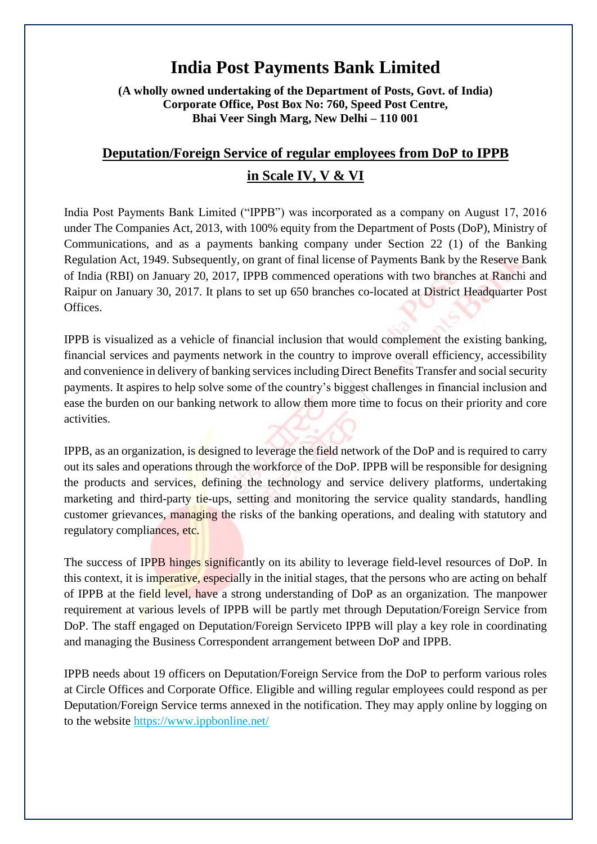# **India Post Payments Bank Limited**

**(A wholly owned undertaking of the Department of Posts, Govt. of India) Corporate Office, Post Box No: 760, Speed Post Centre, Bhai Veer Singh Marg, New Delhi – 110 001**

# **Deputation/Foreign Service of regular employees from DoP to IPPB in Scale IV, V & VI**

India Post Payments Bank Limited ("IPPB") was incorporated as a company on August 17, 2016 under The Companies Act, 2013, with 100% equity from the Department of Posts (DoP), Ministry of Communications, and as a payments banking company under Section 22 (1) of the Banking Regulation Act, 1949. Subsequently, on grant of final license of Payments Bank by the Reserve Bank of India (RBI) on January 20, 2017, IPPB commenced operations with two branches at Ranchi and Raipur on January 30, 2017. It plans to set up 650 branches co-located at District Headquarter Post Offices.

IPPB is visualized as a vehicle of financial inclusion that would complement the existing banking, financial services and payments network in the country to improve overall efficiency, accessibility and convenience in delivery of banking services including Direct Benefits Transfer and social security payments. It aspires to help solve some of the country's biggest challenges in financial inclusion and ease the burden on our banking network to allow them more time to focus on their priority and core activities.

IPPB, as an organization, is designed to leverage the field network of the DoP and is required to carry out its sales and operations through the workforce of the DoP. IPPB will be responsible for designing the products and services, defining the technology and service delivery platforms, undertaking marketing and third-party tie-ups, setting and monitoring the service quality standards, handling customer grievances, managing the risks of the banking operations, and dealing with statutory and regulatory compliances, etc.

The success of IPPB hinges significantly on its ability to leverage field-level resources of DoP. In this context, it is imperative, especially in the initial stages, that the persons who are acting on behalf of IPPB at the field level, have a strong understanding of DoP as an organization. The manpower requirement at various levels of IPPB will be partly met through Deputation/Foreign Service from DoP. The staff engaged on Deputation/Foreign Serviceto IPPB will play a key role in coordinating and managing the Business Correspondent arrangement between DoP and IPPB.

IPPB needs about 19 officers on Deputation/Foreign Service from the DoP to perform various roles at Circle Offices and Corporate Office. Eligible and willing regular employees could respond as per Deputation/Foreign Service terms annexed in the notification. They may apply online by logging on to the website<https://www.ippbonline.net/>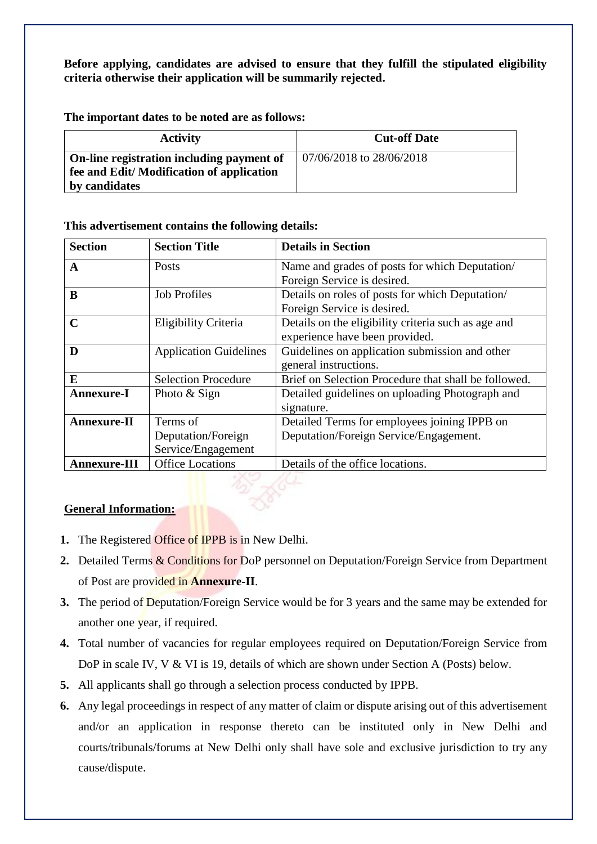**Before applying, candidates are advised to ensure that they fulfill the stipulated eligibility criteria otherwise their application will be summarily rejected.** 

**The important dates to be noted are as follows:**

| <b>Activity</b>                                                                                        | <b>Cut-off Date</b>        |
|--------------------------------------------------------------------------------------------------------|----------------------------|
| On-line registration including payment of<br>fee and Edit/Modification of application<br>by candidates | $07/06/2018$ to 28/06/2018 |

#### **This advertisement contains the following details:**

| <b>Section</b>                                 | <b>Section Title</b>          | <b>Details in Section</b>                            |  |
|------------------------------------------------|-------------------------------|------------------------------------------------------|--|
| A                                              | Posts                         | Name and grades of posts for which Deputation        |  |
|                                                |                               | Foreign Service is desired.                          |  |
| B                                              | <b>Job Profiles</b>           | Details on roles of posts for which Deputation/      |  |
|                                                |                               | Foreign Service is desired.                          |  |
| C                                              | Eligibility Criteria          | Details on the eligibility criteria such as age and  |  |
|                                                |                               | experience have been provided.                       |  |
| D                                              | <b>Application Guidelines</b> | Guidelines on application submission and other       |  |
|                                                |                               | general instructions.                                |  |
| E                                              | <b>Selection Procedure</b>    | Brief on Selection Procedure that shall be followed. |  |
| <b>Annexure-I</b>                              | Photo & Sign                  | Detailed guidelines on uploading Photograph and      |  |
|                                                |                               | signature.                                           |  |
| <b>Annexure-II</b>                             | Terms of                      | Detailed Terms for employees joining IPPB on         |  |
|                                                | Deputation/Foreign            | Deputation/Foreign Service/Engagement.               |  |
|                                                | Service/Engagement            |                                                      |  |
| <b>Office Locations</b><br><b>Annexure-III</b> |                               | Details of the office locations.                     |  |

## **General Information:**

- **1.** The Registered Office of IPPB is in New Delhi.
- **2.** Detailed Terms & Conditions for DoP personnel on Deputation/Foreign Service from Department of Post are provided in **Annexure-II**.
- **3.** The period of Deputation/Foreign Service would be for 3 years and the same may be extended for another one year, if required.
- **4.** Total number of vacancies for regular employees required on Deputation/Foreign Service from DoP in scale IV, V & VI is 19, details of which are shown under Section A (Posts) below.
- **5.** All applicants shall go through a selection process conducted by IPPB.
- **6.** Any legal proceedings in respect of any matter of claim or dispute arising out of this advertisement and/or an application in response thereto can be instituted only in New Delhi and courts/tribunals/forums at New Delhi only shall have sole and exclusive jurisdiction to try any cause/dispute.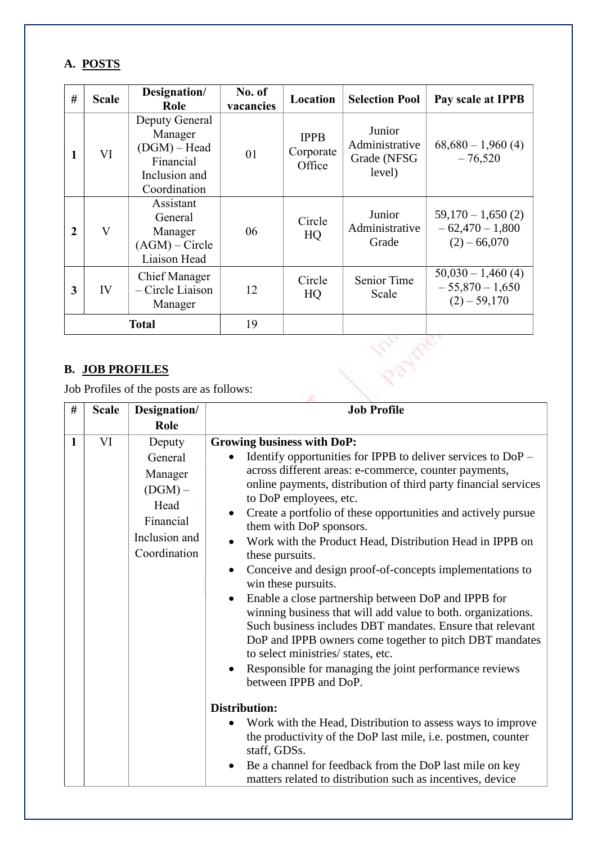# **A. POSTS**

| #                                                                                                    | Designation/<br><b>Scale</b><br>Role      |                                                                     | No. of<br>vacancies                | Location                                          | <b>Selection Pool</b>                                      | Pay scale at IPPB                                        |
|------------------------------------------------------------------------------------------------------|-------------------------------------------|---------------------------------------------------------------------|------------------------------------|---------------------------------------------------|------------------------------------------------------------|----------------------------------------------------------|
| Deputy General<br>Manager<br>$(DGM)$ – Head<br>VI<br>1<br>Financial<br>Inclusion and<br>Coordination |                                           | 01                                                                  | <b>IPPB</b><br>Corporate<br>Office | Junior<br>Administrative<br>Grade (NFSG<br>level) | $68,680 - 1,960(4)$<br>$-76,520$                           |                                                          |
| $\mathbf{V}$<br>$\mathbf 2$                                                                          |                                           | Assistant<br>General<br>Manager<br>$(AGM)$ – Circle<br>Liaison Head | 06                                 | Circle<br>HQ                                      | Junior<br>Administrative<br>Grade                          | $59,170 - 1,650(2)$<br>$-62,470-1,800$<br>$(2) - 66,070$ |
| <b>Chief Manager</b><br>- Circle Liaison<br>IV<br>3<br>Manager                                       |                                           | 12                                                                  | Circle<br>HQ                       | Senior Time<br>Scale                              | $50,030 - 1,460(4)$<br>$-55,870 - 1,650$<br>$(2) - 59,170$ |                                                          |
|                                                                                                      |                                           | <b>Total</b>                                                        | 19                                 |                                                   |                                                            |                                                          |
|                                                                                                      | <b>B. JOB PROFILES</b>                    |                                                                     |                                    |                                                   |                                                            |                                                          |
|                                                                                                      | Job Profiles of the posts are as follows: |                                                                     |                                    |                                                   |                                                            |                                                          |

# **B. JOB PROFILES**

| #            | <b>Scale</b> | Designation/                                                                                    | <b>Job Profile</b>                                                                                                                                                                                                                                                                                                                                                                                                                                                                                                                                                                                                                                                                                                                                                                                                                                                                                                                                                                                                                                                                                                                                                                                                                    |  |
|--------------|--------------|-------------------------------------------------------------------------------------------------|---------------------------------------------------------------------------------------------------------------------------------------------------------------------------------------------------------------------------------------------------------------------------------------------------------------------------------------------------------------------------------------------------------------------------------------------------------------------------------------------------------------------------------------------------------------------------------------------------------------------------------------------------------------------------------------------------------------------------------------------------------------------------------------------------------------------------------------------------------------------------------------------------------------------------------------------------------------------------------------------------------------------------------------------------------------------------------------------------------------------------------------------------------------------------------------------------------------------------------------|--|
|              |              | Role                                                                                            |                                                                                                                                                                                                                                                                                                                                                                                                                                                                                                                                                                                                                                                                                                                                                                                                                                                                                                                                                                                                                                                                                                                                                                                                                                       |  |
| $\mathbf{1}$ | VI           | Deputy<br>General<br>Manager<br>$(DGM)$ –<br>Head<br>Financial<br>Inclusion and<br>Coordination | <b>Growing business with DoP:</b><br>Identify opportunities for IPPB to deliver services to $DoP -$<br>across different areas: e-commerce, counter payments,<br>online payments, distribution of third party financial services<br>to DoP employees, etc.<br>Create a portfolio of these opportunities and actively pursue<br>them with DoP sponsors.<br>Work with the Product Head, Distribution Head in IPPB on<br>these pursuits.<br>Conceive and design proof-of-concepts implementations to<br>win these pursuits.<br>Enable a close partnership between DoP and IPPB for<br>$\bullet$<br>winning business that will add value to both. organizations.<br>Such business includes DBT mandates. Ensure that relevant<br>DoP and IPPB owners come together to pitch DBT mandates<br>to select ministries/ states, etc.<br>Responsible for managing the joint performance reviews<br>between IPPB and DoP.<br><b>Distribution:</b><br>Work with the Head, Distribution to assess ways to improve<br>$\bullet$<br>the productivity of the DoP last mile, i.e. postmen, counter<br>staff, GDSs.<br>Be a channel for feedback from the DoP last mile on key<br>$\bullet$<br>matters related to distribution such as incentives, device |  |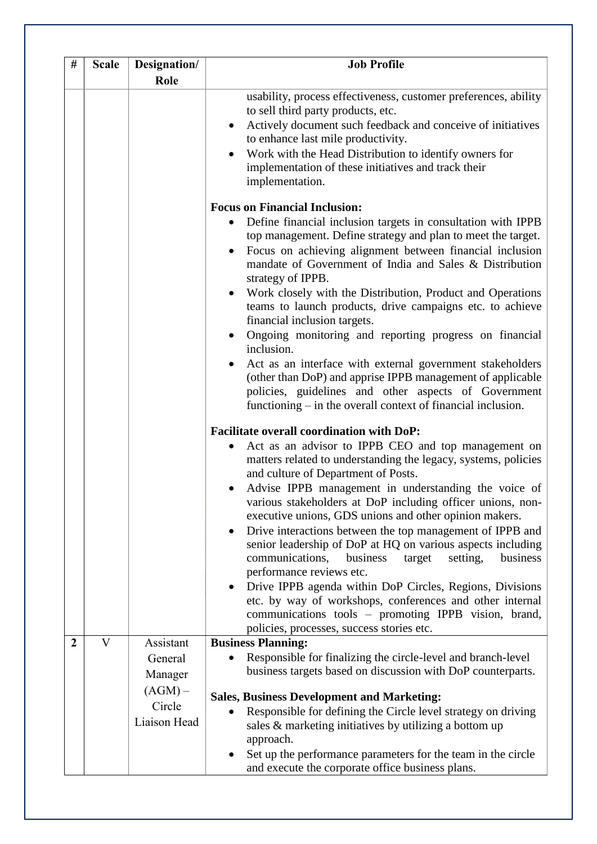| #              | <b>Scale</b> | Designation/                                                           | <b>Job Profile</b>                                                                                                                                                                                                                                                                                                                                                                                                                                                                                                                                                                                                                                                                                                                                                                                                                                                               |  |
|----------------|--------------|------------------------------------------------------------------------|----------------------------------------------------------------------------------------------------------------------------------------------------------------------------------------------------------------------------------------------------------------------------------------------------------------------------------------------------------------------------------------------------------------------------------------------------------------------------------------------------------------------------------------------------------------------------------------------------------------------------------------------------------------------------------------------------------------------------------------------------------------------------------------------------------------------------------------------------------------------------------|--|
|                |              | Role                                                                   |                                                                                                                                                                                                                                                                                                                                                                                                                                                                                                                                                                                                                                                                                                                                                                                                                                                                                  |  |
|                |              |                                                                        | usability, process effectiveness, customer preferences, ability<br>to sell third party products, etc.<br>Actively document such feedback and conceive of initiatives<br>$\bullet$<br>to enhance last mile productivity.<br>Work with the Head Distribution to identify owners for<br>implementation of these initiatives and track their<br>implementation.<br><b>Focus on Financial Inclusion:</b>                                                                                                                                                                                                                                                                                                                                                                                                                                                                              |  |
|                |              |                                                                        | Define financial inclusion targets in consultation with IPPB<br>$\bullet$<br>top management. Define strategy and plan to meet the target.<br>Focus on achieving alignment between financial inclusion<br>mandate of Government of India and Sales & Distribution<br>strategy of IPPB.<br>Work closely with the Distribution, Product and Operations<br>teams to launch products, drive campaigns etc. to achieve<br>financial inclusion targets.<br>Ongoing monitoring and reporting progress on financial<br>inclusion.<br>Act as an interface with external government stakeholders<br>(other than DoP) and apprise IPPB management of applicable<br>policies, guidelines and other aspects of Government<br>functioning $-$ in the overall context of financial inclusion.                                                                                                    |  |
|                |              |                                                                        | <b>Facilitate overall coordination with DoP:</b><br>Act as an advisor to IPPB CEO and top management on<br>$\bullet$<br>matters related to understanding the legacy, systems, policies<br>and culture of Department of Posts.<br>Advise IPPB management in understanding the voice of<br>various stakeholders at DoP including officer unions, non-<br>executive unions, GDS unions and other opinion makers.<br>Drive interactions between the top management of IPPB and<br>$\bullet$<br>senior leadership of DoP at HQ on various aspects including<br>communications,<br>setting,<br>business<br>business<br>target<br>performance reviews etc.<br>Drive IPPB agenda within DoP Circles, Regions, Divisions<br>etc. by way of workshops, conferences and other internal<br>communications tools - promoting IPPB vision, brand,<br>policies, processes, success stories etc. |  |
| $\overline{2}$ | V            | Assistant<br>General<br>Manager<br>$(AGM)$ –<br>Circle<br>Liaison Head | <b>Business Planning:</b><br>Responsible for finalizing the circle-level and branch-level<br>business targets based on discussion with DoP counterparts.<br><b>Sales, Business Development and Marketing:</b><br>Responsible for defining the Circle level strategy on driving<br>sales & marketing initiatives by utilizing a bottom up<br>approach.<br>Set up the performance parameters for the team in the circle<br>and execute the corporate office business plans.                                                                                                                                                                                                                                                                                                                                                                                                        |  |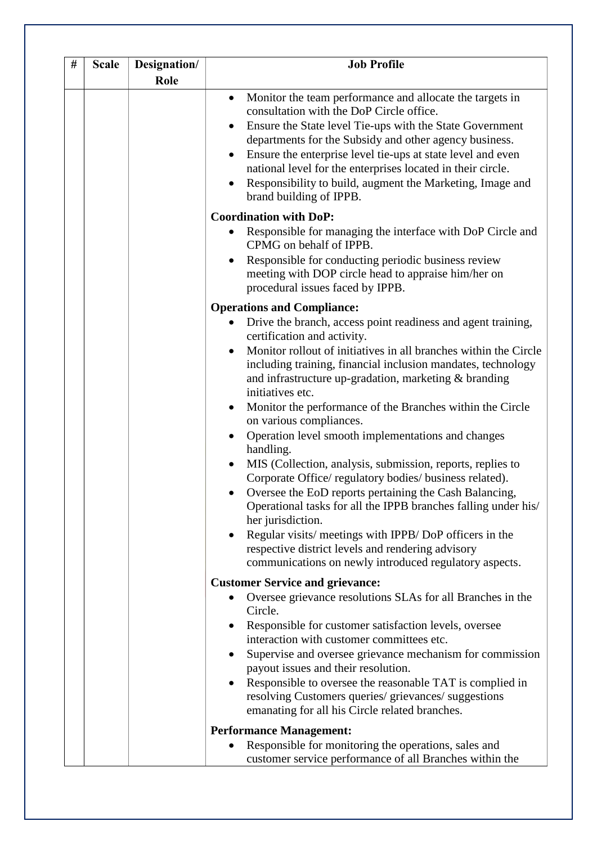| # | <b>Scale</b> | Designation/<br>Role | <b>Job Profile</b>                                                                                                                                                                                                                                                                                                                                                                                                                                                                                                                                                                                                                                                                                                                                                                                                                                                                                                                                    |  |
|---|--------------|----------------------|-------------------------------------------------------------------------------------------------------------------------------------------------------------------------------------------------------------------------------------------------------------------------------------------------------------------------------------------------------------------------------------------------------------------------------------------------------------------------------------------------------------------------------------------------------------------------------------------------------------------------------------------------------------------------------------------------------------------------------------------------------------------------------------------------------------------------------------------------------------------------------------------------------------------------------------------------------|--|
|   |              |                      | Monitor the team performance and allocate the targets in<br>$\bullet$<br>consultation with the DoP Circle office.<br>Ensure the State level Tie-ups with the State Government<br>departments for the Subsidy and other agency business.<br>Ensure the enterprise level tie-ups at state level and even<br>national level for the enterprises located in their circle.<br>Responsibility to build, augment the Marketing, Image and<br>brand building of IPPB.                                                                                                                                                                                                                                                                                                                                                                                                                                                                                         |  |
|   |              |                      | <b>Coordination with DoP:</b>                                                                                                                                                                                                                                                                                                                                                                                                                                                                                                                                                                                                                                                                                                                                                                                                                                                                                                                         |  |
|   |              |                      | Responsible for managing the interface with DoP Circle and<br>CPMG on behalf of IPPB.<br>Responsible for conducting periodic business review<br>$\bullet$<br>meeting with DOP circle head to appraise him/her on<br>procedural issues faced by IPPB.                                                                                                                                                                                                                                                                                                                                                                                                                                                                                                                                                                                                                                                                                                  |  |
|   |              |                      | <b>Operations and Compliance:</b>                                                                                                                                                                                                                                                                                                                                                                                                                                                                                                                                                                                                                                                                                                                                                                                                                                                                                                                     |  |
|   |              |                      | Drive the branch, access point readiness and agent training,<br>certification and activity.<br>Monitor rollout of initiatives in all branches within the Circle<br>$\bullet$<br>including training, financial inclusion mandates, technology<br>and infrastructure up-gradation, marketing & branding<br>initiatives etc.<br>Monitor the performance of the Branches within the Circle<br>$\bullet$<br>on various compliances.<br>Operation level smooth implementations and changes<br>handling.<br>MIS (Collection, analysis, submission, reports, replies to<br>Corporate Office/ regulatory bodies/ business related).<br>Oversee the EoD reports pertaining the Cash Balancing,<br>Operational tasks for all the IPPB branches falling under his/<br>her jurisdiction.<br>Regular visits/ meetings with IPPB/ DoP officers in the<br>respective district levels and rendering advisory<br>communications on newly introduced regulatory aspects. |  |
|   |              |                      | <b>Customer Service and grievance:</b><br>Oversee grievance resolutions SLAs for all Branches in the<br>$\bullet$<br>Circle.<br>Responsible for customer satisfaction levels, oversee                                                                                                                                                                                                                                                                                                                                                                                                                                                                                                                                                                                                                                                                                                                                                                 |  |
|   |              |                      | interaction with customer committees etc.<br>Supervise and oversee grievance mechanism for commission<br>payout issues and their resolution.<br>Responsible to oversee the reasonable TAT is complied in<br>resolving Customers queries/ grievances/ suggestions<br>emanating for all his Circle related branches.                                                                                                                                                                                                                                                                                                                                                                                                                                                                                                                                                                                                                                    |  |
|   |              |                      | <b>Performance Management:</b>                                                                                                                                                                                                                                                                                                                                                                                                                                                                                                                                                                                                                                                                                                                                                                                                                                                                                                                        |  |
|   |              |                      | Responsible for monitoring the operations, sales and<br>customer service performance of all Branches within the                                                                                                                                                                                                                                                                                                                                                                                                                                                                                                                                                                                                                                                                                                                                                                                                                                       |  |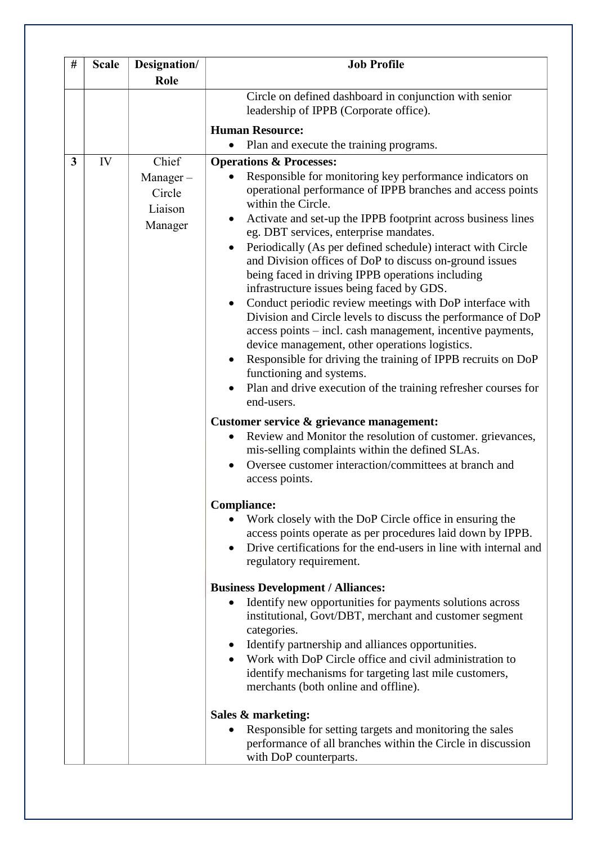| # | <b>Scale</b> | Designation/                                         | <b>Job Profile</b>                                                                                                                                                                                                                                                                                                                                                                                                                                                                                                                                                                                                                                                                                                                                                                                                                                                                                                                                                                                                                                                                                                                                                                                                                                                                                                                                                                                                                                                                                                                                                      |
|---|--------------|------------------------------------------------------|-------------------------------------------------------------------------------------------------------------------------------------------------------------------------------------------------------------------------------------------------------------------------------------------------------------------------------------------------------------------------------------------------------------------------------------------------------------------------------------------------------------------------------------------------------------------------------------------------------------------------------------------------------------------------------------------------------------------------------------------------------------------------------------------------------------------------------------------------------------------------------------------------------------------------------------------------------------------------------------------------------------------------------------------------------------------------------------------------------------------------------------------------------------------------------------------------------------------------------------------------------------------------------------------------------------------------------------------------------------------------------------------------------------------------------------------------------------------------------------------------------------------------------------------------------------------------|
|   |              | Role                                                 |                                                                                                                                                                                                                                                                                                                                                                                                                                                                                                                                                                                                                                                                                                                                                                                                                                                                                                                                                                                                                                                                                                                                                                                                                                                                                                                                                                                                                                                                                                                                                                         |
|   |              |                                                      | Circle on defined dashboard in conjunction with senior<br>leadership of IPPB (Corporate office).                                                                                                                                                                                                                                                                                                                                                                                                                                                                                                                                                                                                                                                                                                                                                                                                                                                                                                                                                                                                                                                                                                                                                                                                                                                                                                                                                                                                                                                                        |
|   |              |                                                      | <b>Human Resource:</b>                                                                                                                                                                                                                                                                                                                                                                                                                                                                                                                                                                                                                                                                                                                                                                                                                                                                                                                                                                                                                                                                                                                                                                                                                                                                                                                                                                                                                                                                                                                                                  |
|   |              |                                                      | Plan and execute the training programs.<br>$\bullet$                                                                                                                                                                                                                                                                                                                                                                                                                                                                                                                                                                                                                                                                                                                                                                                                                                                                                                                                                                                                                                                                                                                                                                                                                                                                                                                                                                                                                                                                                                                    |
| 3 | IV           | Chief<br>$Manager -$<br>Circle<br>Liaison<br>Manager | <b>Operations &amp; Processes:</b><br>Responsible for monitoring key performance indicators on<br>operational performance of IPPB branches and access points<br>within the Circle.<br>Activate and set-up the IPPB footprint across business lines<br>eg. DBT services, enterprise mandates.<br>Periodically (As per defined schedule) interact with Circle<br>and Division offices of DoP to discuss on-ground issues<br>being faced in driving IPPB operations including<br>infrastructure issues being faced by GDS.<br>Conduct periodic review meetings with DoP interface with<br>Division and Circle levels to discuss the performance of DoP<br>access points – incl. cash management, incentive payments,<br>device management, other operations logistics.<br>Responsible for driving the training of IPPB recruits on DoP<br>$\bullet$<br>functioning and systems.<br>Plan and drive execution of the training refresher courses for<br>end-users.<br>Customer service & grievance management:<br>Review and Monitor the resolution of customer. grievances,<br>mis-selling complaints within the defined SLAs.<br>Oversee customer interaction/committees at branch and<br>$\bullet$<br>access points.<br><b>Compliance:</b><br>Work closely with the DoP Circle office in ensuring the<br>access points operate as per procedures laid down by IPPB.<br>Drive certifications for the end-users in line with internal and<br>regulatory requirement.<br><b>Business Development / Alliances:</b><br>Identify new opportunities for payments solutions across |
|   |              |                                                      | institutional, Govt/DBT, merchant and customer segment<br>categories.<br>Identify partnership and alliances opportunities.<br>Work with DoP Circle office and civil administration to<br>identify mechanisms for targeting last mile customers,<br>merchants (both online and offline).                                                                                                                                                                                                                                                                                                                                                                                                                                                                                                                                                                                                                                                                                                                                                                                                                                                                                                                                                                                                                                                                                                                                                                                                                                                                                 |
|   |              |                                                      | Sales & marketing:                                                                                                                                                                                                                                                                                                                                                                                                                                                                                                                                                                                                                                                                                                                                                                                                                                                                                                                                                                                                                                                                                                                                                                                                                                                                                                                                                                                                                                                                                                                                                      |
|   |              |                                                      | Responsible for setting targets and monitoring the sales<br>performance of all branches within the Circle in discussion<br>with DoP counterparts.                                                                                                                                                                                                                                                                                                                                                                                                                                                                                                                                                                                                                                                                                                                                                                                                                                                                                                                                                                                                                                                                                                                                                                                                                                                                                                                                                                                                                       |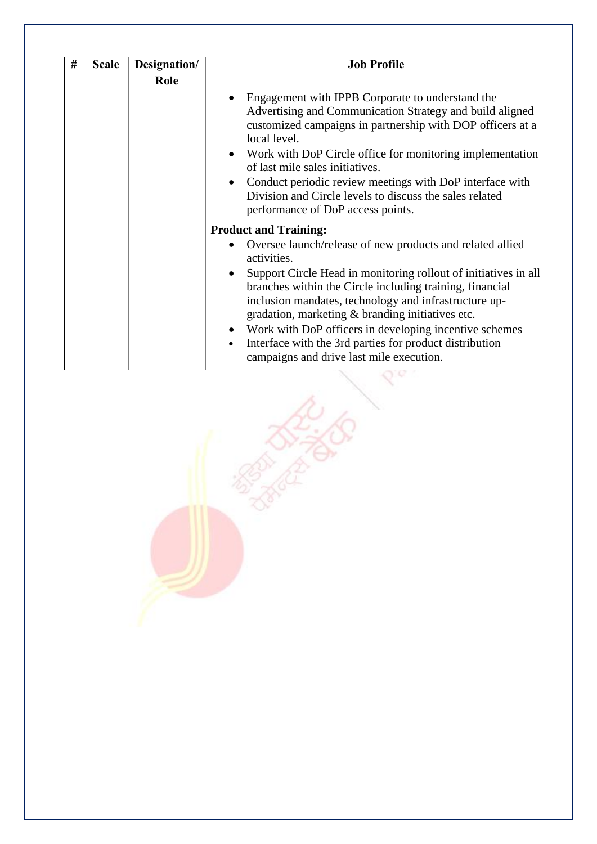| # | <b>Scale</b> | Designation/<br>Role | <b>Job Profile</b>                                                                                                                                                                                                                                                                                                                                                                                                                                                                                                    |
|---|--------------|----------------------|-----------------------------------------------------------------------------------------------------------------------------------------------------------------------------------------------------------------------------------------------------------------------------------------------------------------------------------------------------------------------------------------------------------------------------------------------------------------------------------------------------------------------|
|   |              |                      | Engagement with IPPB Corporate to understand the<br>Advertising and Communication Strategy and build aligned<br>customized campaigns in partnership with DOP officers at a<br>local level.<br>Work with DoP Circle office for monitoring implementation<br>of last mile sales initiatives.<br>Conduct periodic review meetings with DoP interface with<br>Division and Circle levels to discuss the sales related<br>performance of DoP access points.                                                                |
|   |              |                      | <b>Product and Training:</b><br>Oversee launch/release of new products and related allied<br>activities.<br>Support Circle Head in monitoring rollout of initiatives in all<br>branches within the Circle including training, financial<br>inclusion mandates, technology and infrastructure up-<br>gradation, marketing & branding initiatives etc.<br>Work with DoP officers in developing incentive schemes<br>Interface with the 3rd parties for product distribution<br>campaigns and drive last mile execution. |

 $\overline{6}$ 

1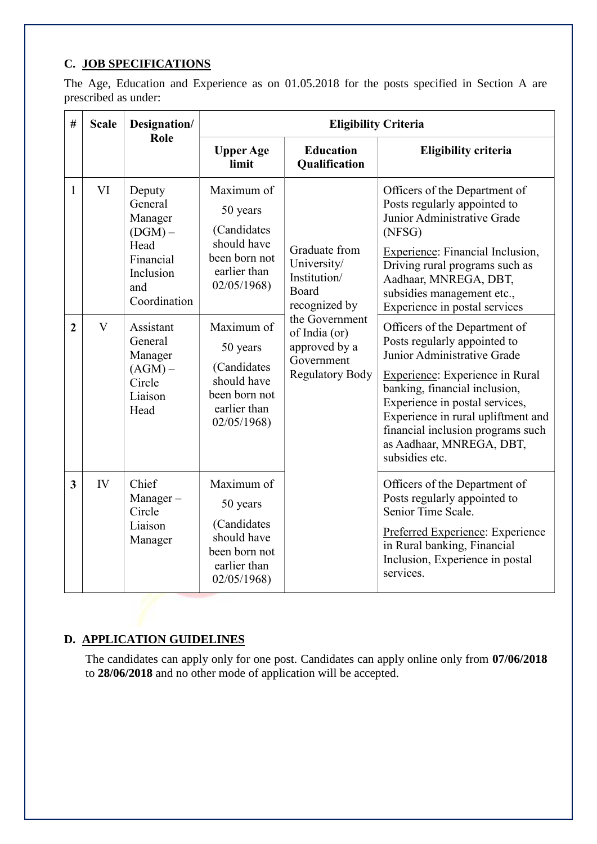# **C. JOB SPECIFICATIONS**

The Age, Education and Experience as on 01.05.2018 for the posts specified in Section A are prescribed as under:

| #                       | <b>Scale</b> | Designation/<br>Role                                                                               | <b>Eligibility Criteria</b>                                                                         |                                                                                          |                                                                                                                                                                                                                                                                                                                                    |
|-------------------------|--------------|----------------------------------------------------------------------------------------------------|-----------------------------------------------------------------------------------------------------|------------------------------------------------------------------------------------------|------------------------------------------------------------------------------------------------------------------------------------------------------------------------------------------------------------------------------------------------------------------------------------------------------------------------------------|
|                         |              |                                                                                                    | <b>Upper Age</b><br>limit                                                                           | <b>Education</b><br>Qualification                                                        | <b>Eligibility criteria</b>                                                                                                                                                                                                                                                                                                        |
| 1                       | VI           | Deputy<br>General<br>Manager<br>$(DGM)$ –<br>Head<br>Financial<br>Inclusion<br>and<br>Coordination | Maximum of<br>50 years<br>(Candidates<br>should have<br>been born not<br>earlier than<br>02/05/1968 | Graduate from<br>University/<br>Institution/<br>Board<br>recognized by                   | Officers of the Department of<br>Posts regularly appointed to<br>Junior Administrative Grade<br>(NFSG)<br>Experience: Financial Inclusion,<br>Driving rural programs such as<br>Aadhaar, MNREGA, DBT,<br>subsidies management etc.,<br>Experience in postal services                                                               |
| $\overline{2}$          | $\mathbf{V}$ | Assistant<br>General<br>Manager<br>$(AGM)$ –<br>Circle<br>Liaison<br>Head                          | Maximum of<br>50 years<br>(Candidates<br>should have<br>been born not<br>earlier than<br>02/05/1968 | the Government<br>of India (or)<br>approved by a<br>Government<br><b>Regulatory Body</b> | Officers of the Department of<br>Posts regularly appointed to<br>Junior Administrative Grade<br><b>Experience:</b> Experience in Rural<br>banking, financial inclusion,<br>Experience in postal services,<br>Experience in rural upliftment and<br>financial inclusion programs such<br>as Aadhaar, MNREGA, DBT,<br>subsidies etc. |
| $\overline{\mathbf{3}}$ | IV           | Chief<br>$Manager -$<br>Circle<br>Liaison<br>Manager                                               | Maximum of<br>50 years<br>(Candidates<br>should have<br>been born not<br>earlier than<br>02/05/1968 |                                                                                          | Officers of the Department of<br>Posts regularly appointed to<br>Senior Time Scale.<br>Preferred Experience: Experience<br>in Rural banking, Financial<br>Inclusion, Experience in postal<br>services.                                                                                                                             |

### **D. APPLICATION GUIDELINES**

The candidates can apply only for one post. Candidates can apply online only from **07/06/2018** to **28/06/2018** and no other mode of application will be accepted.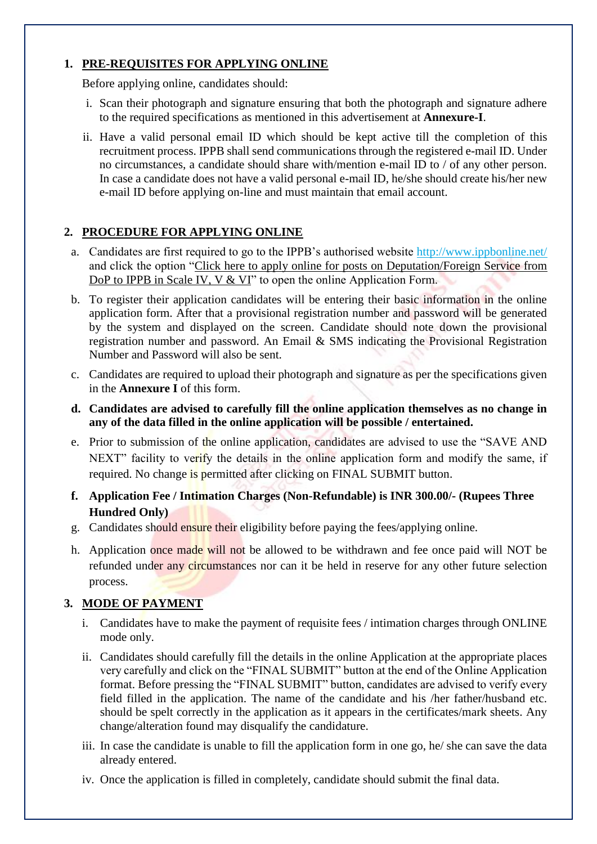## **1. PRE-REQUISITES FOR APPLYING ONLINE**

Before applying online, candidates should:

- i. Scan their photograph and signature ensuring that both the photograph and signature adhere to the required specifications as mentioned in this advertisement at **Annexure-I**.
- ii. Have a valid personal email ID which should be kept active till the completion of this recruitment process. IPPB shall send communications through the registered e-mail ID. Under no circumstances, a candidate should share with/mention e-mail ID to / of any other person. In case a candidate does not have a valid personal e-mail ID, he/she should create his/her new e-mail ID before applying on-line and must maintain that email account.

# **2. PROCEDURE FOR APPLYING ONLINE**

- a. Candidates are first required to go to the IPPB's authorised website<http://www.ippbonline.net/> and click the option "Click here to apply online for posts on Deputation/Foreign Service from DoP to IPPB in Scale IV, V & VI" to open the online Application Form.
- b. To register their application candidates will be entering their basic information in the online application form. After that a provisional registration number and password will be generated by the system and displayed on the screen. Candidate should note down the provisional registration number and password. An Email & SMS indicating the Provisional Registration Number and Password will also be sent.
- c. Candidates are required to upload their photograph and signature as per the specifications given in the **Annexure I** of this form.
- **d. Candidates are advised to carefully fill the online application themselves as no change in any of the data filled in the online application will be possible / entertained.**
- e. Prior to submission of the online application, candidates are advised to use the "SAVE AND NEXT" facility to verify the details in the online application form and modify the same, if required. No change is permitted after clicking on FINAL SUBMIT button.
- **f. Application Fee / Intimation Charges (Non-Refundable) is INR 300.00/- (Rupees Three Hundred Only)**
- g. Candidates should ensure their eligibility before paying the fees/applying online.
- h. Application once made will not be allowed to be withdrawn and fee once paid will NOT be refunded under any circumstances nor can it be held in reserve for any other future selection process.

# **3. MODE OF PAYMENT**

- i. Candidates have to make the payment of requisite fees / intimation charges through ONLINE mode only.
- ii. Candidates should carefully fill the details in the online Application at the appropriate places very carefully and click on the "FINAL SUBMIT" button at the end of the Online Application format. Before pressing the "FINAL SUBMIT" button, candidates are advised to verify every field filled in the application. The name of the candidate and his /her father/husband etc. should be spelt correctly in the application as it appears in the certificates/mark sheets. Any change/alteration found may disqualify the candidature.
- iii. In case the candidate is unable to fill the application form in one go, he/ she can save the data already entered.
- iv. Once the application is filled in completely, candidate should submit the final data.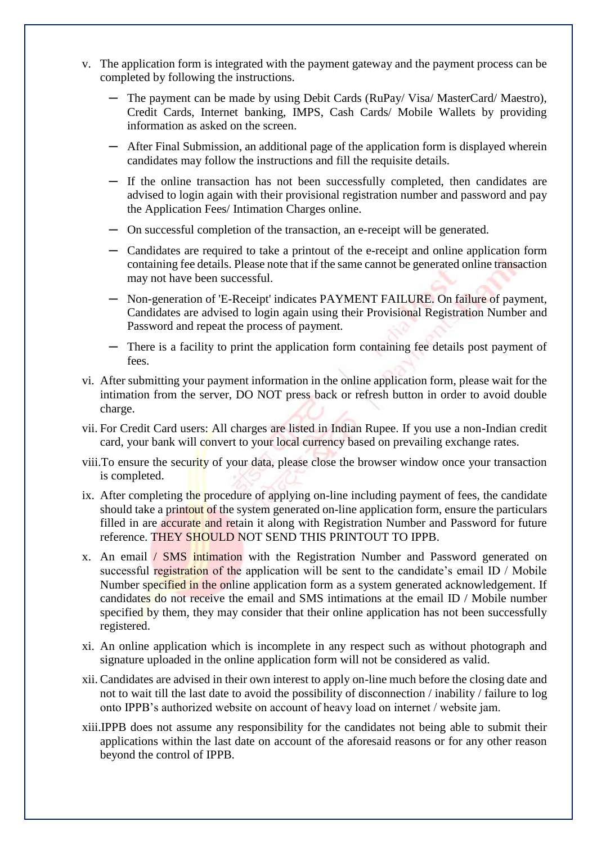- v. The application form is integrated with the payment gateway and the payment process can be completed by following the instructions.
	- ─ The payment can be made by using Debit Cards (RuPay/ Visa/ MasterCard/ Maestro), Credit Cards, Internet banking, IMPS, Cash Cards/ Mobile Wallets by providing information as asked on the screen.
	- After Final Submission, an additional page of the application form is displayed wherein candidates may follow the instructions and fill the requisite details.
	- ─ If the online transaction has not been successfully completed, then candidates are advised to login again with their provisional registration number and password and pay the Application Fees/ Intimation Charges online.
	- ─ On successful completion of the transaction, an e-receipt will be generated.
	- ─ Candidates are required to take a printout of the e-receipt and online application form containing fee details. Please note that if the same cannot be generated online transaction may not have been successful.
	- Non-generation of 'E-Receipt' indicates PAYMENT FAILURE. On failure of payment, Candidates are advised to login again using their Provisional Registration Number and Password and repeat the process of payment.
	- ─ There is a facility to print the application form containing fee details post payment of fees.
- vi. After submitting your payment information in the online application form, please wait for the intimation from the server, DO NOT press back or refresh button in order to avoid double charge.
- vii. For Credit Card users: All charges are listed in Indian Rupee. If you use a non-Indian credit card, your bank will convert to your local currency based on prevailing exchange rates.
- viii.To ensure the security of your data, please close the browser window once your transaction is completed.
- ix. After completing the procedure of applying on-line including payment of fees, the candidate should take a printout of the system generated on-line application form, ensure the particulars filled in are accurate and retain it along with Registration Number and Password for future reference. THEY SHOULD NOT SEND THIS PRINTOUT TO IPPB.
- x. An email / SMS intimation with the Registration Number and Password generated on successful registration of the application will be sent to the candidate's email ID / Mobile Number specified in the online application form as a system generated acknowledgement. If candidates do not receive the email and SMS intimations at the email ID / Mobile number specified by them, they may consider that their online application has not been successfully registered.
- xi. An online application which is incomplete in any respect such as without photograph and signature uploaded in the online application form will not be considered as valid.
- xii. Candidates are advised in their own interest to apply on-line much before the closing date and not to wait till the last date to avoid the possibility of disconnection / inability / failure to log onto IPPB's authorized website on account of heavy load on internet / website jam.
- xiii.IPPB does not assume any responsibility for the candidates not being able to submit their applications within the last date on account of the aforesaid reasons or for any other reason beyond the control of IPPB.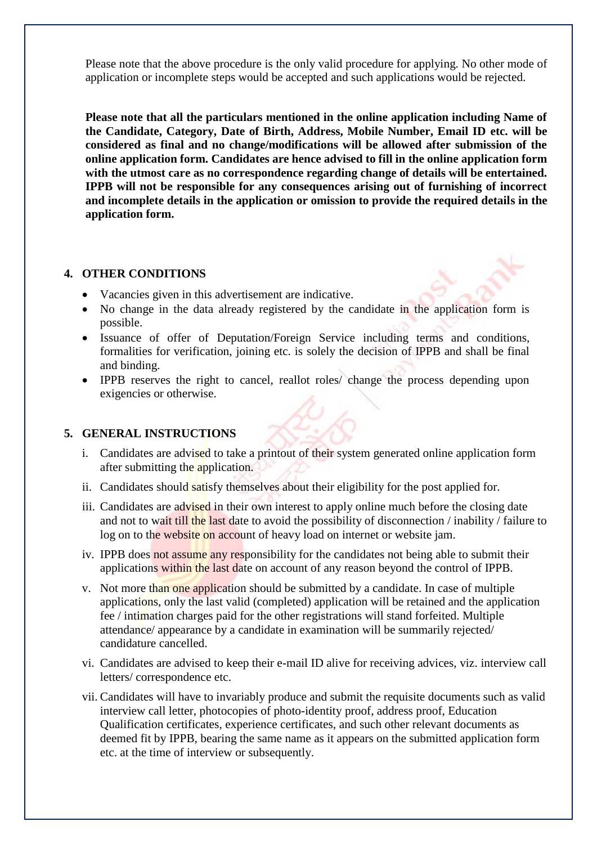Please note that the above procedure is the only valid procedure for applying. No other mode of application or incomplete steps would be accepted and such applications would be rejected.

**Please note that all the particulars mentioned in the online application including Name of the Candidate, Category, Date of Birth, Address, Mobile Number, Email ID etc. will be considered as final and no change/modifications will be allowed after submission of the online application form. Candidates are hence advised to fill in the online application form with the utmost care as no correspondence regarding change of details will be entertained. IPPB will not be responsible for any consequences arising out of furnishing of incorrect and incomplete details in the application or omission to provide the required details in the application form.**

#### **4. OTHER CONDITIONS**

- Vacancies given in this advertisement are indicative.
- No change in the data already registered by the candidate in the application form is possible.
- Issuance of offer of Deputation/Foreign Service including terms and conditions, formalities for verification, joining etc. is solely the decision of IPPB and shall be final and binding.
- IPPB reserves the right to cancel, reallot roles/ change the process depending upon exigencies or otherwise.

#### **5. GENERAL INSTRUCTIONS**

- i. Candidates are advised to take a printout of their system generated online application form after submitting the application.
- ii. Candidates should satisfy themselves about their eligibility for the post applied for.
- iii. Candidates are advised in their own interest to apply online much before the closing date and not to wait till the last date to avoid the possibility of disconnection / inability / failure to log on to the website on account of heavy load on internet or website jam.
- iv. IPPB does not assume any responsibility for the candidates not being able to submit their applications within the last date on account of any reason beyond the control of IPPB.
- v. Not more than one application should be submitted by a candidate. In case of multiple applications, only the last valid (completed) application will be retained and the application fee / intimation charges paid for the other registrations will stand forfeited. Multiple attendance/ appearance by a candidate in examination will be summarily rejected/ candidature cancelled.
- vi. Candidates are advised to keep their e-mail ID alive for receiving advices, viz. interview call letters/ correspondence etc.
- vii. Candidates will have to invariably produce and submit the requisite documents such as valid interview call letter, photocopies of photo-identity proof, address proof, Education Qualification certificates, experience certificates, and such other relevant documents as deemed fit by IPPB, bearing the same name as it appears on the submitted application form etc. at the time of interview or subsequently.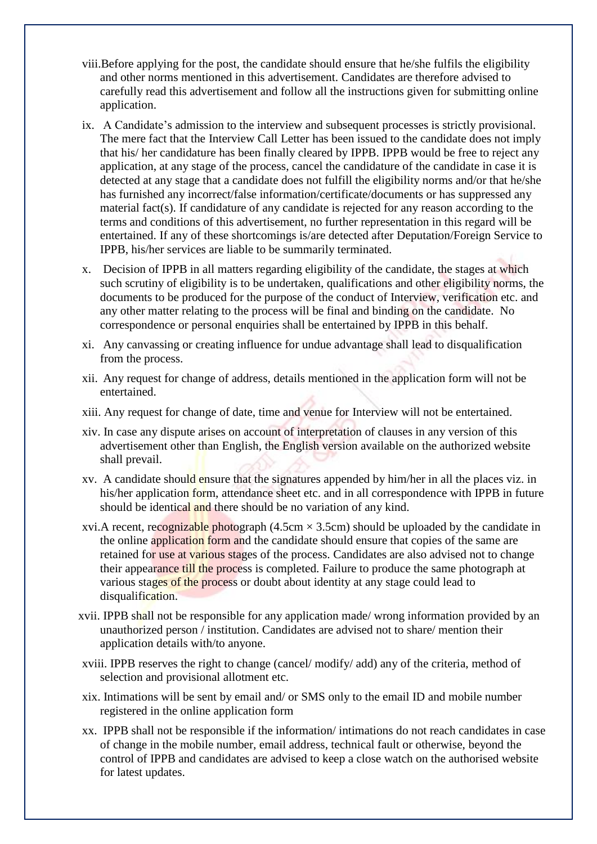- viii.Before applying for the post, the candidate should ensure that he/she fulfils the eligibility and other norms mentioned in this advertisement. Candidates are therefore advised to carefully read this advertisement and follow all the instructions given for submitting online application.
- ix. A Candidate's admission to the interview and subsequent processes is strictly provisional. The mere fact that the Interview Call Letter has been issued to the candidate does not imply that his/ her candidature has been finally cleared by IPPB. IPPB would be free to reject any application, at any stage of the process, cancel the candidature of the candidate in case it is detected at any stage that a candidate does not fulfill the eligibility norms and/or that he/she has furnished any incorrect/false information/certificate/documents or has suppressed any material fact(s). If candidature of any candidate is rejected for any reason according to the terms and conditions of this advertisement, no further representation in this regard will be entertained. If any of these shortcomings is/are detected after Deputation/Foreign Service to IPPB, his/her services are liable to be summarily terminated.
- x. Decision of IPPB in all matters regarding eligibility of the candidate, the stages at which such scrutiny of eligibility is to be undertaken, qualifications and other eligibility norms, the documents to be produced for the purpose of the conduct of Interview, verification etc. and any other matter relating to the process will be final and binding on the candidate. No correspondence or personal enquiries shall be entertained by IPPB in this behalf.
- xi. Any canvassing or creating influence for undue advantage shall lead to disqualification from the process.
- xii. Any request for change of address, details mentioned in the application form will not be entertained.
- xiii. Any request for change of date, time and venue for Interview will not be entertained.
- xiv. In case any dispute arises on account of interpretation of clauses in any version of this advertisement other than English, the English version available on the authorized website shall prevail.
- xv. A candidate should ensure that the signatures appended by him/her in all the places viz. in his/her application form, attendance sheet etc. and in all correspondence with IPPB in future should be identical and there should be no variation of any kind.
- xvi.A recent, recognizable photograph (4.5cm  $\times$  3.5cm) should be uploaded by the candidate in the online application form and the candidate should ensure that copies of the same are retained for use at various stages of the process. Candidates are also advised not to change their appearance till the process is completed. Failure to produce the same photograph at various stages of the process or doubt about identity at any stage could lead to disqualification.
- xvii. IPPB shall not be responsible for any application made/ wrong information provided by an unauthorized person / institution. Candidates are advised not to share/ mention their application details with/to anyone.
- xviii. IPPB reserves the right to change (cancel/ modify/ add) any of the criteria, method of selection and provisional allotment etc.
- xix. Intimations will be sent by email and/ or SMS only to the email ID and mobile number registered in the online application form
- xx. IPPB shall not be responsible if the information/ intimations do not reach candidates in case of change in the mobile number, email address, technical fault or otherwise, beyond the control of IPPB and candidates are advised to keep a close watch on the authorised website for latest updates.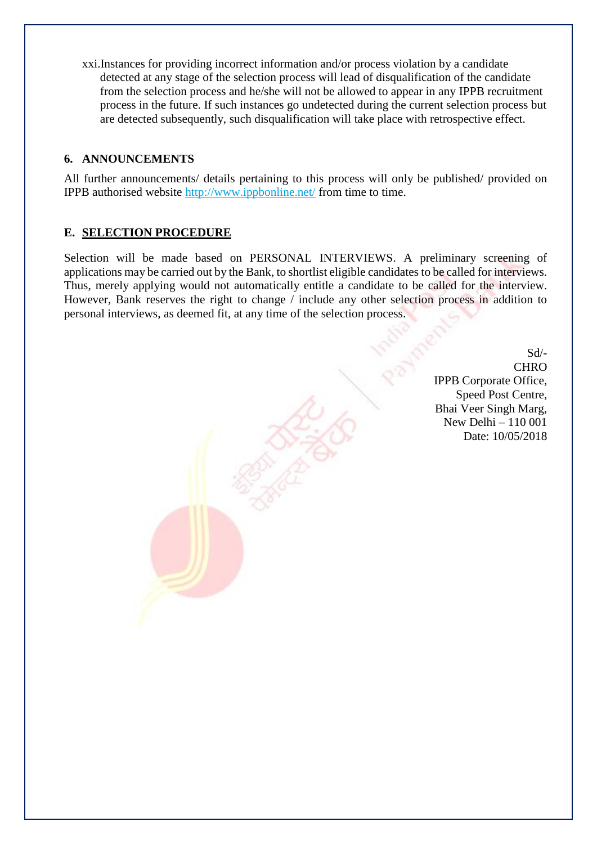xxi.Instances for providing incorrect information and/or process violation by a candidate detected at any stage of the selection process will lead of disqualification of the candidate from the selection process and he/she will not be allowed to appear in any IPPB recruitment process in the future. If such instances go undetected during the current selection process but are detected subsequently, such disqualification will take place with retrospective effect.

#### **6. ANNOUNCEMENTS**

All further announcements/ details pertaining to this process will only be published/ provided on IPPB authorised website<http://www.ippbonline.net/> from time to time.

#### **E. SELECTION PROCEDURE**

Selection will be made based on PERSONAL INTERVIEWS. A preliminary screening of applications may be carried out by the Bank, to shortlist eligible candidates to be called for interviews. Thus, merely applying would not automatically entitle a candidate to be called for the interview. However, Bank reserves the right to change / include any other selection process in addition to personal interviews, as deemed fit, at any time of the selection process.

> Sd/- **CHRO** IPPB Corporate Office, Speed Post Centre, Bhai Veer Singh Marg, New Delhi – 110 001 Date: 10/05/2018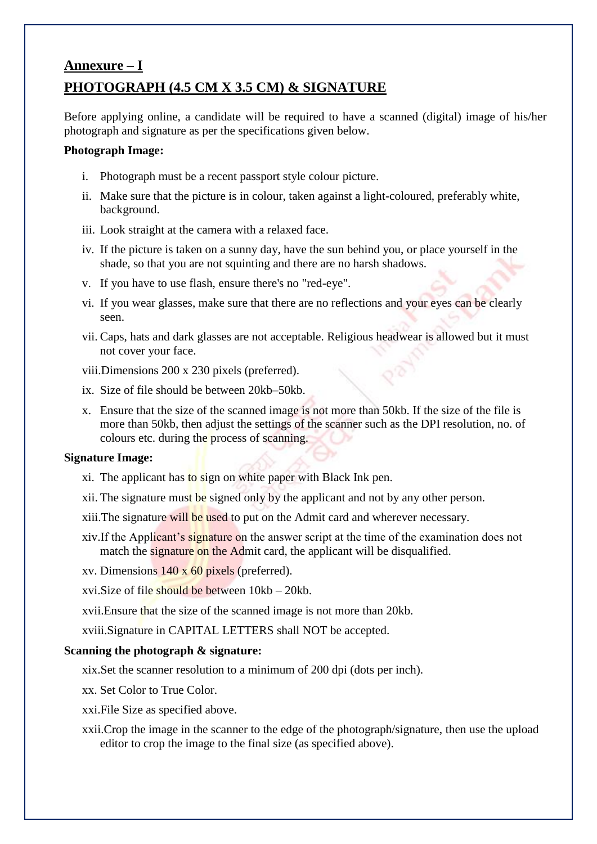# **Annexure – I PHOTOGRAPH (4.5 CM X 3.5 CM) & SIGNATURE**

Before applying online, a candidate will be required to have a scanned (digital) image of his/her photograph and signature as per the specifications given below.

#### **Photograph Image:**

- i. Photograph must be a recent passport style colour picture.
- ii. Make sure that the picture is in colour, taken against a light-coloured, preferably white, background.
- iii. Look straight at the camera with a relaxed face.
- iv. If the picture is taken on a sunny day, have the sun behind you, or place yourself in the shade, so that you are not squinting and there are no harsh shadows.
- v. If you have to use flash, ensure there's no "red-eye".
- vi. If you wear glasses, make sure that there are no reflections and your eyes can be clearly seen.
- vii. Caps, hats and dark glasses are not acceptable. Religious headwear is allowed but it must not cover your face.

viii.Dimensions 200 x 230 pixels (preferred).

- ix. Size of file should be between 20kb–50kb.
- x. Ensure that the size of the scanned image is not more than 50kb. If the size of the file is more than 50kb, then adjust the settings of the scanner such as the DPI resolution, no. of colours etc. during the process of scanning.

#### **Signature Image:**

- xi. The applicant has to sign on white paper with Black Ink pen.
- xii. The signature must be signed only by the applicant and not by any other person.
- xiii.The signature will be used to put on the Admit card and wherever necessary.
- xiv.If the Applicant's signature on the answer script at the time of the examination does not match the signature on the Admit card, the applicant will be disqualified.
- xv. Dimensions 140 x 60 pixels (preferred).
- xvi.Size of file should be between 10kb 20kb.
- xvii.Ensure that the size of the scanned image is not more than 20kb.
- xviii.Signature in CAPITAL LETTERS shall NOT be accepted.

#### **Scanning the photograph & signature:**

- xix.Set the scanner resolution to a minimum of 200 dpi (dots per inch).
- xx. Set Color to True Color.
- xxi.File Size as specified above.
- xxii.Crop the image in the scanner to the edge of the photograph/signature, then use the upload editor to crop the image to the final size (as specified above).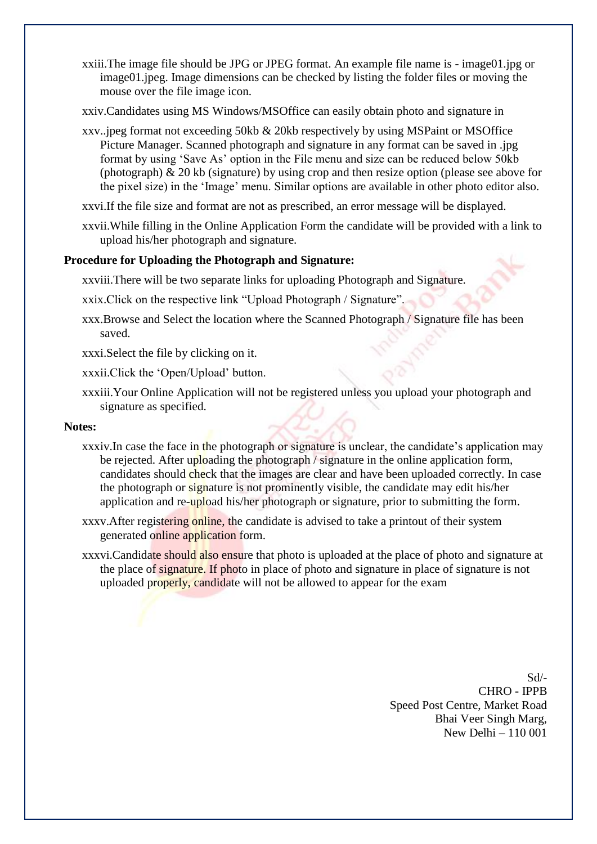xxiii.The image file should be JPG or JPEG format. An example file name is - image01.jpg or image01.jpeg. Image dimensions can be checked by listing the folder files or moving the mouse over the file image icon.

xxiv.Candidates using MS Windows/MSOffice can easily obtain photo and signature in

- xxv..jpeg format not exceeding 50kb & 20kb respectively by using MSPaint or MSOffice Picture Manager. Scanned photograph and signature in any format can be saved in .jpg format by using 'Save As' option in the File menu and size can be reduced below 50kb (photograph) & 20 kb (signature) by using crop and then resize option (please see above for the pixel size) in the 'Image' menu. Similar options are available in other photo editor also.
- xxvi.If the file size and format are not as prescribed, an error message will be displayed.
- xxvii.While filling in the Online Application Form the candidate will be provided with a link to upload his/her photograph and signature.

#### **Procedure for Uploading the Photograph and Signature:**

xxviii.There will be two separate links for uploading Photograph and Signature.

xxix.Click on the respective link "Upload Photograph / Signature".

xxx.Browse and Select the location where the Scanned Photograph / Signature file has been saved.

xxxi.Select the file by clicking on it.

xxxii.Click the 'Open/Upload' button.

xxxiii.Your Online Application will not be registered unless you upload your photograph and signature as specified.

#### **Notes:**

- xxxiv.In case the face in the photograph or signature is unclear, the candidate's application may be rejected. After uploading the photograph / signature in the online application form, candidates should check that the images are clear and have been uploaded correctly. In case the photograph or signature is not prominently visible, the candidate may edit his/her application and re-upload his/her photograph or signature, prior to submitting the form.
- xxxv.After registering online, the candidate is advised to take a printout of their system generated online application form.
- xxxvi.Candidate should also ensure that photo is uploaded at the place of photo and signature at the place of signature. If photo in place of photo and signature in place of signature is not uploaded properly, candidate will not be allowed to appear for the exam

Sd/- CHRO - IPPB Speed Post Centre, Market Road Bhai Veer Singh Marg, New Delhi – 110 001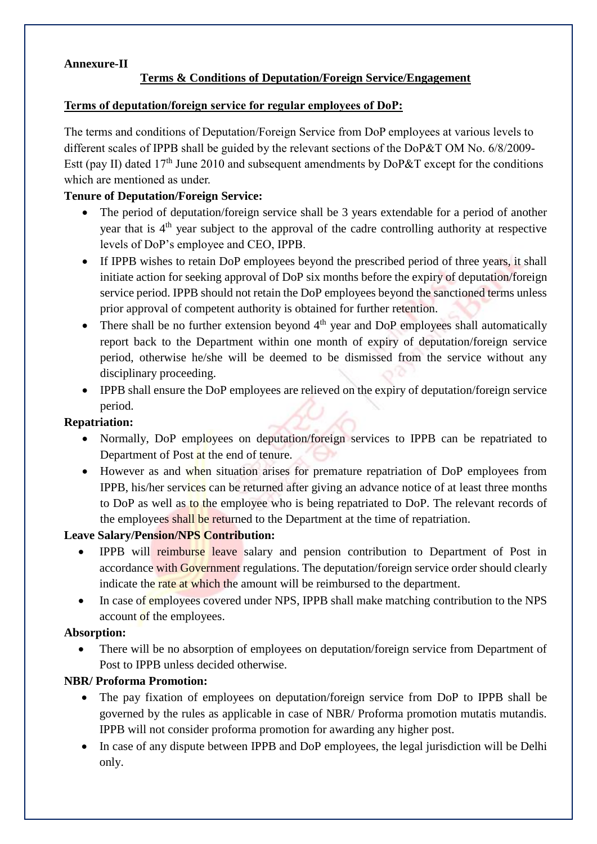## **Annexure-II**

## **Terms & Conditions of Deputation/Foreign Service/Engagement**

#### **Terms of deputation/foreign service for regular employees of DoP:**

The terms and conditions of Deputation/Foreign Service from DoP employees at various levels to different scales of IPPB shall be guided by the relevant sections of the DoP&T OM No. 6/8/2009- Estt (pay II) dated  $17<sup>th</sup>$  June 2010 and subsequent amendments by DoP&T except for the conditions which are mentioned as under.

### **Tenure of Deputation/Foreign Service:**

- The period of deputation/foreign service shall be 3 years extendable for a period of another year that is 4<sup>th</sup> year subject to the approval of the cadre controlling authority at respective levels of DoP's employee and CEO, IPPB.
- If IPPB wishes to retain DoP employees beyond the prescribed period of three years, it shall initiate action for seeking approval of DoP six months before the expiry of deputation/foreign service period. IPPB should not retain the DoP employees beyond the sanctioned terms unless prior approval of competent authority is obtained for further retention.
- There shall be no further extension beyond  $4<sup>th</sup>$  year and DoP employees shall automatically report back to the Department within one month of expiry of deputation/foreign service period, otherwise he/she will be deemed to be dismissed from the service without any disciplinary proceeding.
- IPPB shall ensure the DoP employees are relieved on the expiry of deputation/foreign service period.

#### **Repatriation:**

- Normally, DoP employees on deputation/foreign services to IPPB can be repatriated to Department of Post at the end of tenure.
- However as and when situation arises for premature repatriation of DoP employees from IPPB, his/her services can be returned after giving an advance notice of at least three months to DoP as well as to the employee who is being repatriated to DoP. The relevant records of the employees shall be returned to the Department at the time of repatriation.

#### **Leave Salary/Pension/NPS Contribution:**

- IPPB will reimburse leave salary and pension contribution to Department of Post in accordance with Government regulations. The deputation/foreign service order should clearly indicate the rate at which the amount will be reimbursed to the department.
- In case of employees covered under NPS, IPPB shall make matching contribution to the NPS account of the employees.

#### **Absorption:**

• There will be no absorption of employees on deputation/foreign service from Department of Post to IPPB unless decided otherwise.

#### **NBR/ Proforma Promotion:**

- The pay fixation of employees on deputation/foreign service from DoP to IPPB shall be governed by the rules as applicable in case of NBR/ Proforma promotion mutatis mutandis. IPPB will not consider proforma promotion for awarding any higher post.
- In case of any dispute between IPPB and DoP employees, the legal jurisdiction will be Delhi only.